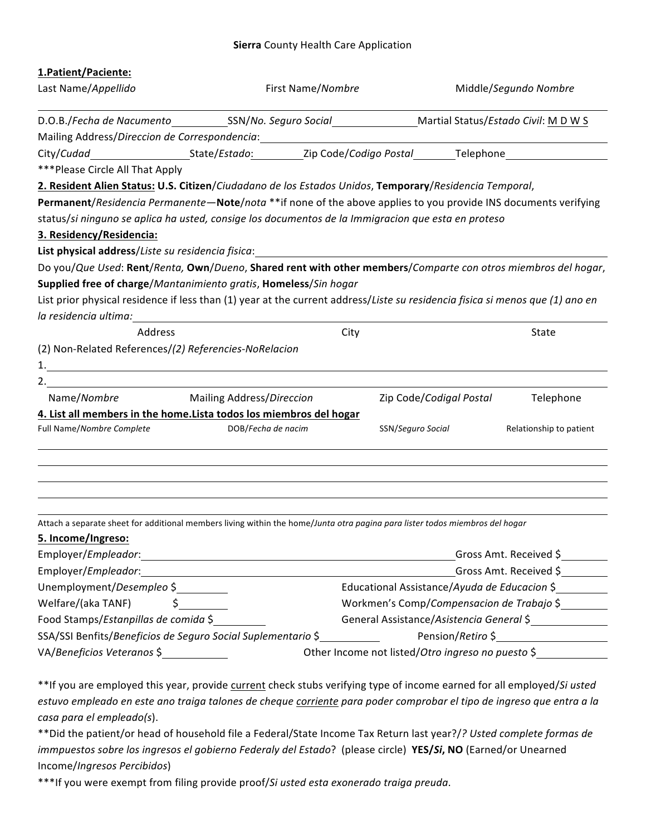## **Sierra** County Health Care Application

| 1. Patient/Paciente:                                                                                                          |                                                                                                                      |                                              |                                                   |  |
|-------------------------------------------------------------------------------------------------------------------------------|----------------------------------------------------------------------------------------------------------------------|----------------------------------------------|---------------------------------------------------|--|
| Last Name/Appellido                                                                                                           | First Name/Nombre                                                                                                    |                                              | Middle/Segundo Nombre                             |  |
|                                                                                                                               |                                                                                                                      |                                              |                                                   |  |
| Mailing Address/Direccion de Correspondencia: National System of the Mail System of the Mail System of the Mai                |                                                                                                                      |                                              |                                                   |  |
|                                                                                                                               |                                                                                                                      |                                              |                                                   |  |
| ***Please Circle All That Apply                                                                                               |                                                                                                                      |                                              |                                                   |  |
| 2. Resident Alien Status: U.S. Citizen/Ciudadano de los Estados Unidos, Temporary/Residencia Temporal,                        |                                                                                                                      |                                              |                                                   |  |
| Permanent/Residencia Permanente-Note/nota **if none of the above applies to you provide INS documents verifying               |                                                                                                                      |                                              |                                                   |  |
| status/si ninguno se aplica ha usted, consige los documentos de la Immigracion que esta en proteso                            |                                                                                                                      |                                              |                                                   |  |
| 3. Residency/Residencia:                                                                                                      |                                                                                                                      |                                              |                                                   |  |
| List physical address/Liste su residencia fisica:                                                                             |                                                                                                                      |                                              |                                                   |  |
| Do you/Que Used: Rent/Renta, Own/Dueno, Shared rent with other members/Comparte con otros miembros del hogar,                 |                                                                                                                      |                                              |                                                   |  |
| Supplied free of charge/Mantanimiento gratis, Homeless/Sin hogar                                                              |                                                                                                                      |                                              |                                                   |  |
| List prior physical residence if less than (1) year at the current address/Liste su residencia fisica si menos que (1) ano en |                                                                                                                      |                                              |                                                   |  |
| la residencia ultima: en el controllado en el controllado de la controllado de la controllado de la controllad                |                                                                                                                      |                                              |                                                   |  |
| Address                                                                                                                       |                                                                                                                      | City                                         | <b>State</b>                                      |  |
| (2) Non-Related References/(2) Referencies-NoRelacion                                                                         |                                                                                                                      |                                              |                                                   |  |
|                                                                                                                               |                                                                                                                      |                                              |                                                   |  |
|                                                                                                                               |                                                                                                                      |                                              |                                                   |  |
| Name/Nombre Mailing Address/Direccion                                                                                         |                                                                                                                      | Zip Code/Codigal Postal                      | Telephone                                         |  |
| 4. List all members in the home. Lista todos los miembros del hogar                                                           |                                                                                                                      |                                              |                                                   |  |
| Full Name/Nombre Complete                                                                                                     | DOB/Fecha de nacim                                                                                                   | SSN/Seguro Social                            | Relationship to patient                           |  |
|                                                                                                                               |                                                                                                                      |                                              |                                                   |  |
| Attach a separate sheet for additional members living within the home/Junta otra pagina para lister todos miembros del hogar  |                                                                                                                      |                                              |                                                   |  |
| 5. Income/Ingreso:                                                                                                            |                                                                                                                      |                                              |                                                   |  |
| Employer/Empleador:                                                                                                           | <u> 1980 - Johann Barbara, martxa amerikan bashkar (</u>                                                             | Gross Amt. Received \$                       |                                                   |  |
| Employer/Empleador:                                                                                                           | <u> 1980 - Jan Samuel Barbara, martin da shekara tsara 1980 - Andrea Samuel Barbara, mashrida a shekara tsara 19</u> | Gross Amt. Received \$                       |                                                   |  |
| Unemployment/Desempleo \$                                                                                                     |                                                                                                                      | Educational Assistance/Ayuda de Educacion \$ |                                                   |  |
| $\sharp$<br>Welfare/(aka TANF)                                                                                                |                                                                                                                      | Workmen's Comp/Compensacion de Trabajo \$    |                                                   |  |
| Food Stamps/Estanpillas de comida \$                                                                                          |                                                                                                                      |                                              | General Assistance/Asistencia General \$          |  |
|                                                                                                                               | SSA/SSI Benfits/Beneficios de Seguro Social Suplementario \$                                                         |                                              | Pension/Retiro \$                                 |  |
|                                                                                                                               |                                                                                                                      |                                              | Other Income not listed/Otro ingreso no puesto \$ |  |

If you are employed this year, provide <u>current</u> check stubs verifying type of income earned for all employed/*Si usted* estuvo empleado en este ano traiga talones de cheque corriente para poder comprobar el tipo de ingreso que entra a la casa para el empleado(s).

\*\*Did the patient/or head of household file a Federal/State Income Tax Return last year?/? Usted complete formas de *immpuestos sobre los ingresos el gobierno Federaly del Estado? (please circle) YES/Si, NO (Earned/or Unearned* Income/*Ingresos 
 Percibidos*) 

\*\*\*If you were exempt from filing provide proof/Si usted esta exonerado traiga preuda.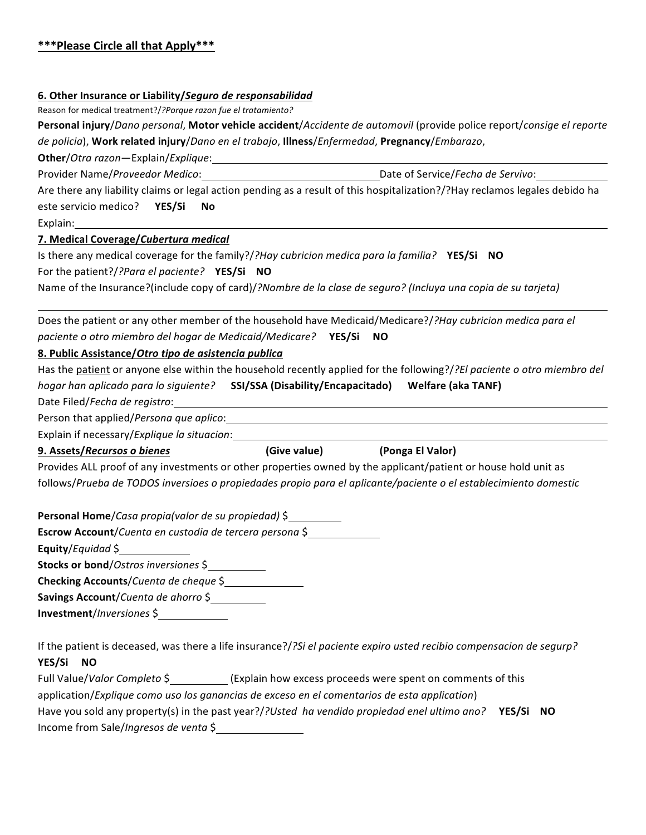## **6. Other Insurance or Liability/Seguro de responsabilidad**

Reason for medical treatment?/?Porque razon fue el tratamiento?

**Personal injury**/Dano personal, **Motor vehicle accident**/Accidente de automovil (provide police report/consige el reporte de policia), Work related injury/*Dano en el trabajo*, Illness/*Enfermedad*, Pregnancy/*Embarazo*,

**Other**/*Otra 
 razon*—Explain/*Explique*: 

Provider 
 Name/*Proveedor 
 Medico*: 

 Date 
 of 
 Service/*Fecha 
 de 
 Servivo*: 

Are there any liability claims or legal action pending as a result of this hospitalization?/?Hay reclamos legales debido ha este servicio medico? **YES/Si No** 

Explain: 

**7. 
 Medical 
 Coverage/***Cubertura 
 medical*

Is there any medical coverage for the family?/*?Hay cubricion medica para la familia*? **YES/Si NO** For the patient?/?Para el paciente? YES/Si NO

Name of the Insurance?(include copy of card)/?Nombre de la clase de seguro? (Incluya una copia de su tarjeta)

Does the patient or any other member of the household have Medicaid/Medicare?/?Hay cubricion medica para el paciente o otro miembro del hogar de Medicaid/Medicare? **YES/Si NO** 

## 8. Public Assistance/Otro tipo de asistencia publica

Has the patient or anyone else within the household recently applied for the following?/*?El paciente o otro miembro del hogar 
 han 
 aplicado 
 para 
 lo 
 siguiente?* **SSI/SSA 
 (Disability/Encapacitado) 

 Welfare 
 (aka 
 TANF)** Date Filed/Fecha de registro:

Person that applied/Persona que aplico:

Explain if necessary/*Explique la situacion*:

**(Give value)** (Ponga El Valor)

Provides ALL proof of any investments or other properties owned by the applicant/patient or house hold unit as follows/Prueba de TODOS inversioes o propiedades propio para el aplicante/paciente o el establecimiento domestic

**Personal Home/***Casa propia(valor de su propiedad)* \$

**Escrow Account/**Cuenta en custodia de tercera persona \$

**Equity**/*Equidad* \$

**Stocks or bond**/*Ostros inversiones* \$

**Checking Accounts/***Cuenta de cheque* \$

Savings Account/*Cuenta de ahorro* \$

**Investment**/*Inversiones* \$

If the patient is deceased, was there a life insurance?/?Si el paciente expiro usted recibio compensacion de segurp? YES/Si NO

Full Value/*Valor Completo* \$ (Explain how excess proceeds were spent on comments of this application/Explique como uso los ganancias de exceso en el comentarios de esta application) Have you sold any property(s) in the past year?/?Usted ha vendido propiedad enel ultimo ano? **YES/Si NO** Income from Sale/*Ingresos de venta* \$